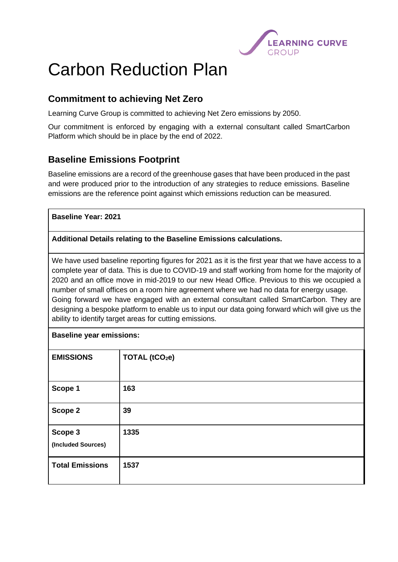

# Carbon Reduction Plan

# **Commitment to achieving Net Zero**

Learning Curve Group is committed to achieving Net Zero emissions by 2050.

Our commitment is enforced by engaging with a external consultant called SmartCarbon Platform which should be in place by the end of 2022.

# **Baseline Emissions Footprint**

Baseline emissions are a record of the greenhouse gases that have been produced in the past and were produced prior to the introduction of any strategies to reduce emissions. Baseline emissions are the reference point against which emissions reduction can be measured.

## **Baseline Year: 2021**

#### **Additional Details relating to the Baseline Emissions calculations.**

We have used baseline reporting figures for 2021 as it is the first year that we have access to a complete year of data. This is due to COVID-19 and staff working from home for the majority of 2020 and an office move in mid-2019 to our new Head Office. Previous to this we occupied a number of small offices on a room hire agreement where we had no data for energy usage. Going forward we have engaged with an external consultant called SmartCarbon. They are designing a bespoke platform to enable us to input our data going forward which will give us the ability to identify target areas for cutting emissions.

## **Baseline year emissions:**

| TOTAL (tCO <sub>2</sub> e) |
|----------------------------|
|                            |
| 163                        |
| 39                         |
| 1335                       |
|                            |
| 1537                       |
|                            |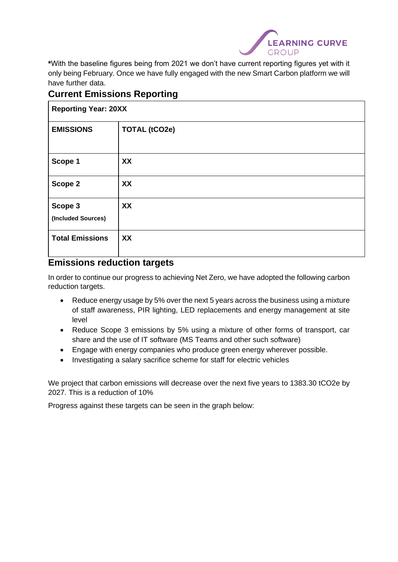

**\***With the baseline figures being from 2021 we don't have current reporting figures yet with it only being February. Once we have fully engaged with the new Smart Carbon platform we will have further data.

## **Current Emissions Reporting**

| <b>Reporting Year: 20XX</b>   |                      |
|-------------------------------|----------------------|
| <b>EMISSIONS</b>              | <b>TOTAL (tCO2e)</b> |
| Scope 1                       | XX                   |
| Scope 2                       | XX                   |
| Scope 3<br>(Included Sources) | XX                   |
| <b>Total Emissions</b>        | XX                   |

## **Emissions reduction targets**

In order to continue our progress to achieving Net Zero, we have adopted the following carbon reduction targets.

- Reduce energy usage by 5% over the next 5 years across the business using a mixture of staff awareness, PIR lighting, LED replacements and energy management at site level
- Reduce Scope 3 emissions by 5% using a mixture of other forms of transport, car share and the use of IT software (MS Teams and other such software)
- Engage with energy companies who produce green energy wherever possible.
- Investigating a salary sacrifice scheme for staff for electric vehicles

We project that carbon emissions will decrease over the next five years to 1383.30 tCO2e by 2027. This is a reduction of 10%

Progress against these targets can be seen in the graph below: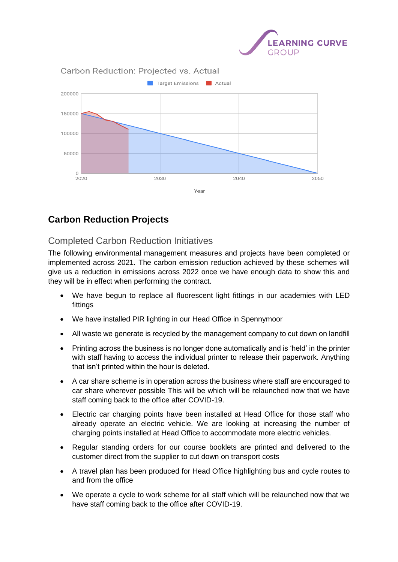



# **Carbon Reduction Projects**

# Completed Carbon Reduction Initiatives

The following environmental management measures and projects have been completed or implemented across 2021. The carbon emission reduction achieved by these schemes will give us a reduction in emissions across 2022 once we have enough data to show this and they will be in effect when performing the contract.

- We have begun to replace all fluorescent light fittings in our academies with LED fittings
- We have installed PIR lighting in our Head Office in Spennymoor
- All waste we generate is recycled by the management company to cut down on landfill
- Printing across the business is no longer done automatically and is 'held' in the printer with staff having to access the individual printer to release their paperwork. Anything that isn't printed within the hour is deleted.
- A car share scheme is in operation across the business where staff are encouraged to car share wherever possible This will be which will be relaunched now that we have staff coming back to the office after COVID-19.
- Electric car charging points have been installed at Head Office for those staff who already operate an electric vehicle. We are looking at increasing the number of charging points installed at Head Office to accommodate more electric vehicles.
- Regular standing orders for our course booklets are printed and delivered to the customer direct from the supplier to cut down on transport costs
- A travel plan has been produced for Head Office highlighting bus and cycle routes to and from the office
- We operate a cycle to work scheme for all staff which will be relaunched now that we have staff coming back to the office after COVID-19.